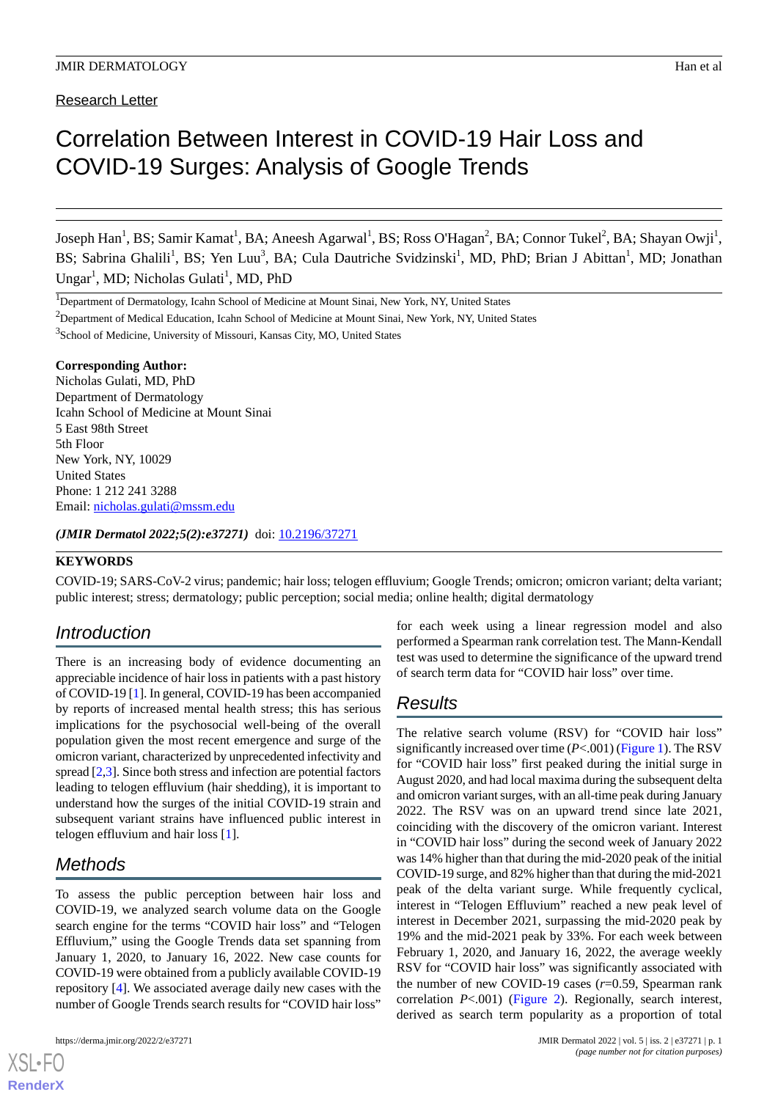Research Letter

# Correlation Between Interest in COVID-19 Hair Loss and COVID-19 Surges: Analysis of Google Trends

Joseph Han<sup>1</sup>, BS; Samir Kamat<sup>1</sup>, BA; Aneesh Agarwal<sup>1</sup>, BS; Ross O'Hagan<sup>2</sup>, BA; Connor Tukel<sup>2</sup>, BA; Shayan Owji<sup>1</sup>, BS; Sabrina Ghalili<sup>1</sup>, BS; Yen Luu<sup>3</sup>, BA; Cula Dautriche Svidzinski<sup>1</sup>, MD, PhD; Brian J Abittan<sup>1</sup>, MD; Jonathan Ungar<sup>1</sup>, MD; Nicholas Gulati<sup>1</sup>, MD, PhD

#### **Corresponding Author:**

Nicholas Gulati, MD, PhD Department of Dermatology Icahn School of Medicine at Mount Sinai 5 East 98th Street 5th Floor New York, NY, 10029 United States Phone: 1 212 241 3288 Email: [nicholas.gulati@mssm.edu](mailto:nicholas.gulati@mssm.edu)

*(JMIR Dermatol 2022;5(2):e37271)* doi: [10.2196/37271](http://dx.doi.org/10.2196/37271)

#### **KEYWORDS**

COVID-19; SARS-CoV-2 virus; pandemic; hair loss; telogen effluvium; Google Trends; omicron; omicron variant; delta variant; public interest; stress; dermatology; public perception; social media; online health; digital dermatology

## *Introduction*

There is an increasing body of evidence documenting an appreciable incidence of hair loss in patients with a past history of COVID-19 [[1\]](#page-2-0). In general, COVID-19 has been accompanied by reports of increased mental health stress; this has serious implications for the psychosocial well-being of the overall population given the most recent emergence and surge of the omicron variant, characterized by unprecedented infectivity and spread [[2](#page-2-1)[,3\]](#page-2-2). Since both stress and infection are potential factors leading to telogen effluvium (hair shedding), it is important to understand how the surges of the initial COVID-19 strain and subsequent variant strains have influenced public interest in telogen effluvium and hair loss [\[1\]](#page-2-0).

## *Methods*

[XSL](http://www.w3.org/Style/XSL)•FO **[RenderX](http://www.renderx.com/)**

To assess the public perception between hair loss and COVID-19, we analyzed search volume data on the Google search engine for the terms "COVID hair loss" and "Telogen Effluvium," using the Google Trends data set spanning from January 1, 2020, to January 16, 2022. New case counts for COVID-19 were obtained from a publicly available COVID-19 repository [[4\]](#page-2-3). We associated average daily new cases with the number of Google Trends search results for "COVID hair loss"

for each week using a linear regression model and also performed a Spearman rank correlation test. The Mann-Kendall test was used to determine the significance of the upward trend of search term data for "COVID hair loss" over time.

## *Results*

The relative search volume (RSV) for "COVID hair loss" significantly increased over time (*P*<.001) [\(Figure 1](#page-1-0)). The RSV for "COVID hair loss" first peaked during the initial surge in August 2020, and had local maxima during the subsequent delta and omicron variant surges, with an all-time peak during January 2022. The RSV was on an upward trend since late 2021, coinciding with the discovery of the omicron variant. Interest in "COVID hair loss" during the second week of January 2022 was 14% higher than that during the mid-2020 peak of the initial COVID-19 surge, and 82% higher than that during the mid-2021 peak of the delta variant surge. While frequently cyclical, interest in "Telogen Effluvium" reached a new peak level of interest in December 2021, surpassing the mid-2020 peak by 19% and the mid-2021 peak by 33%. For each week between February 1, 2020, and January 16, 2022, the average weekly RSV for "COVID hair loss" was significantly associated with the number of new COVID-19 cases (*r*=0.59, Spearman rank correlation *P*<.001) ([Figure 2\)](#page-1-1). Regionally, search interest, derived as search term popularity as a proportion of total

<sup>&</sup>lt;sup>1</sup>Department of Dermatology, Icahn School of Medicine at Mount Sinai, New York, NY, United States

<sup>&</sup>lt;sup>2</sup>Department of Medical Education, Icahn School of Medicine at Mount Sinai, New York, NY, United States

<sup>&</sup>lt;sup>3</sup>School of Medicine, University of Missouri, Kansas City, MO, United States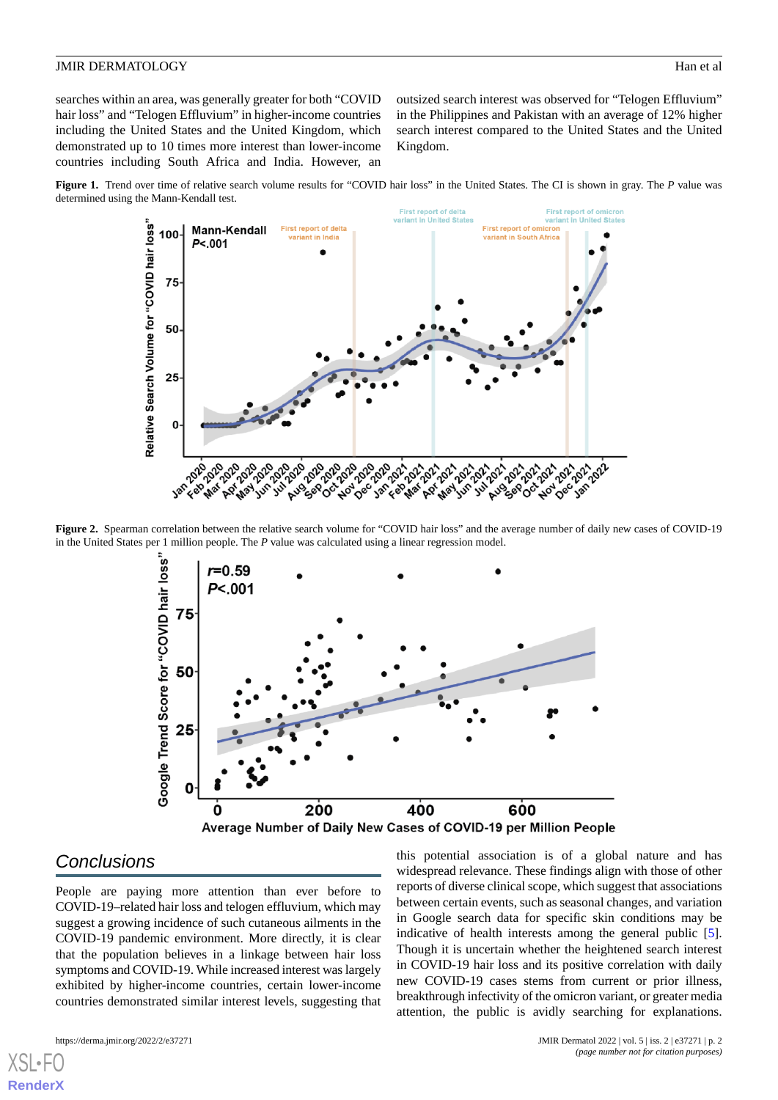#### **JMIR DERMATOLOGY** Han et al.

searches within an area, was generally greater for both "COVID hair loss" and "Telogen Effluvium" in higher-income countries including the United States and the United Kingdom, which demonstrated up to 10 times more interest than lower-income countries including South Africa and India. However, an

outsized search interest was observed for "Telogen Effluvium" in the Philippines and Pakistan with an average of 12% higher search interest compared to the United States and the United Kingdom.

<span id="page-1-0"></span>**Figure 1.** Trend over time of relative search volume results for "COVID hair loss" in the United States. The CI is shown in gray. The *P* value was determined using the Mann-Kendall test.



<span id="page-1-1"></span>Figure 2. Spearman correlation between the relative search volume for "COVID hair loss" and the average number of daily new cases of COVID-19 in the United States per 1 million people. The *P* value was calculated using a linear regression model.



# *Conclusions*

People are paying more attention than ever before to COVID-19–related hair loss and telogen effluvium, which may suggest a growing incidence of such cutaneous ailments in the COVID-19 pandemic environment. More directly, it is clear that the population believes in a linkage between hair loss symptoms and COVID-19. While increased interest was largely exhibited by higher-income countries, certain lower-income countries demonstrated similar interest levels, suggesting that

[XSL](http://www.w3.org/Style/XSL)•FO **[RenderX](http://www.renderx.com/)**

this potential association is of a global nature and has widespread relevance. These findings align with those of other reports of diverse clinical scope, which suggest that associations between certain events, such as seasonal changes, and variation in Google search data for specific skin conditions may be indicative of health interests among the general public [[5\]](#page-2-4). Though it is uncertain whether the heightened search interest in COVID-19 hair loss and its positive correlation with daily new COVID-19 cases stems from current or prior illness, breakthrough infectivity of the omicron variant, or greater media attention, the public is avidly searching for explanations.